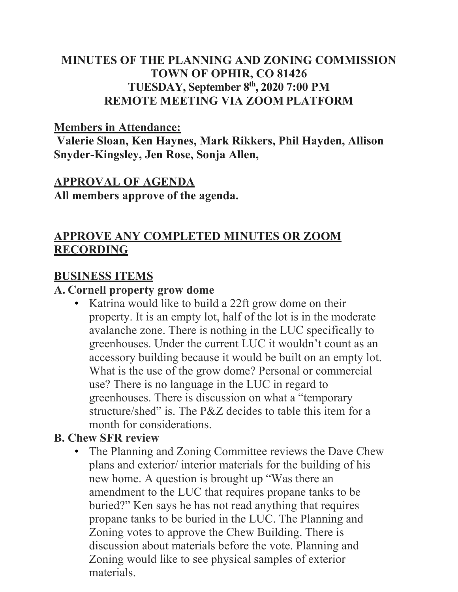## **MINUTES OF THE PLANNING AND ZONING COMMISSION TOWN OF OPHIR, CO 81426 TUESDAY, September 8th, 2020 7:00 PM REMOTE MEETING VIA ZOOM PLATFORM**

#### **Members in Attendance:**

**Valerie Sloan, Ken Haynes, Mark Rikkers, Phil Hayden, Allison Snyder-Kingsley, Jen Rose, Sonja Allen,** 

#### **APPROVAL OF AGENDA**

**All members approve of the agenda.** 

## **APPROVE ANY COMPLETED MINUTES OR ZOOM RECORDING**

### **BUSINESS ITEMS**

#### **A. Cornell property grow dome**

• Katrina would like to build a 22ft grow dome on their property. It is an empty lot, half of the lot is in the moderate avalanche zone. There is nothing in the LUC specifically to greenhouses. Under the current LUC it wouldn't count as an accessory building because it would be built on an empty lot. What is the use of the grow dome? Personal or commercial use? There is no language in the LUC in regard to greenhouses. There is discussion on what a "temporary structure/shed" is. The P&Z decides to table this item for a month for considerations.

### **B. Chew SFR review**

• The Planning and Zoning Committee reviews the Dave Chew plans and exterior/ interior materials for the building of his new home. A question is brought up "Was there an amendment to the LUC that requires propane tanks to be buried?" Ken says he has not read anything that requires propane tanks to be buried in the LUC. The Planning and Zoning votes to approve the Chew Building. There is discussion about materials before the vote. Planning and Zoning would like to see physical samples of exterior materials.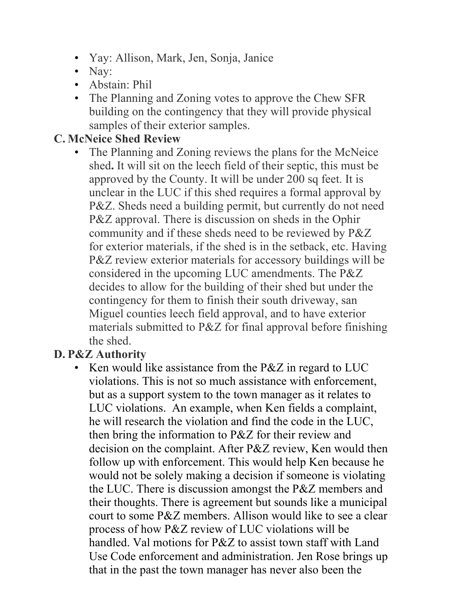- Yay: Allison, Mark, Jen, Sonja, Janice
- Nay:
- Abstain: Phil
- The Planning and Zoning votes to approve the Chew SFR building on the contingency that they will provide physical samples of their exterior samples.

### **C. McNeice Shed Review**

The Planning and Zoning reviews the plans for the McNeice shed**.** It will sit on the leech field of their septic, this must be approved by the County. It will be under 200 sq feet. It is unclear in the LUC if this shed requires a formal approval by P&Z. Sheds need a building permit, but currently do not need P&Z approval. There is discussion on sheds in the Ophir community and if these sheds need to be reviewed by P&Z for exterior materials, if the shed is in the setback, etc. Having P&Z review exterior materials for accessory buildings will be considered in the upcoming LUC amendments. The P&Z decides to allow for the building of their shed but under the contingency for them to finish their south driveway, san Miguel counties leech field approval, and to have exterior materials submitted to P&Z for final approval before finishing the shed.

### **D. P&Z Authority**

• Ken would like assistance from the P&Z in regard to LUC violations. This is not so much assistance with enforcement, but as a support system to the town manager as it relates to LUC violations. An example, when Ken fields a complaint, he will research the violation and find the code in the LUC, then bring the information to P&Z for their review and decision on the complaint. After P&Z review, Ken would then follow up with enforcement. This would help Ken because he would not be solely making a decision if someone is violating the LUC. There is discussion amongst the P&Z members and their thoughts. There is agreement but sounds like a municipal court to some P&Z members. Allison would like to see a clear process of how P&Z review of LUC violations will be handled. Val motions for P&Z to assist town staff with Land Use Code enforcement and administration. Jen Rose brings up that in the past the town manager has never also been the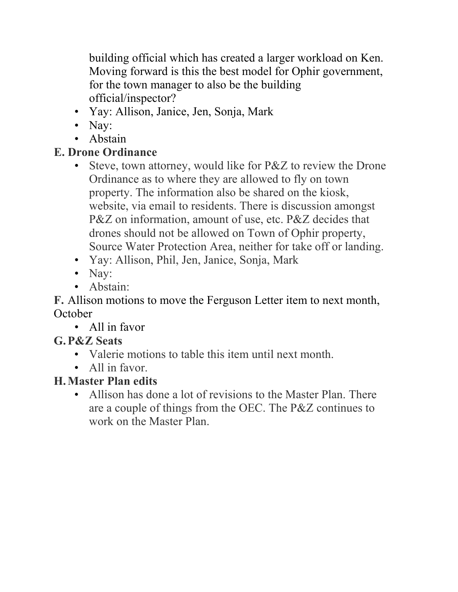building official which has created a larger workload on Ken. Moving forward is this the best model for Ophir government, for the town manager to also be the building official/inspector?

- Yay: Allison, Janice, Jen, Sonja, Mark
- Nay:
- Abstain

# **E. Drone Ordinance**

- Steve, town attorney, would like for P&Z to review the Drone Ordinance as to where they are allowed to fly on town property. The information also be shared on the kiosk, website, via email to residents. There is discussion amongst P&Z on information, amount of use, etc. P&Z decides that drones should not be allowed on Town of Ophir property, Source Water Protection Area, neither for take off or landing.
- Yay: Allison, Phil, Jen, Janice, Sonja, Mark
- Nay:
- Abstain:

**F.** Allison motions to move the Ferguson Letter item to next month, **October** 

• All in favor

# **G.P&Z Seats**

- Valerie motions to table this item until next month.
- All in favor.

# **H.Master Plan edits**

• Allison has done a lot of revisions to the Master Plan. There are a couple of things from the OEC. The P&Z continues to work on the Master Plan.